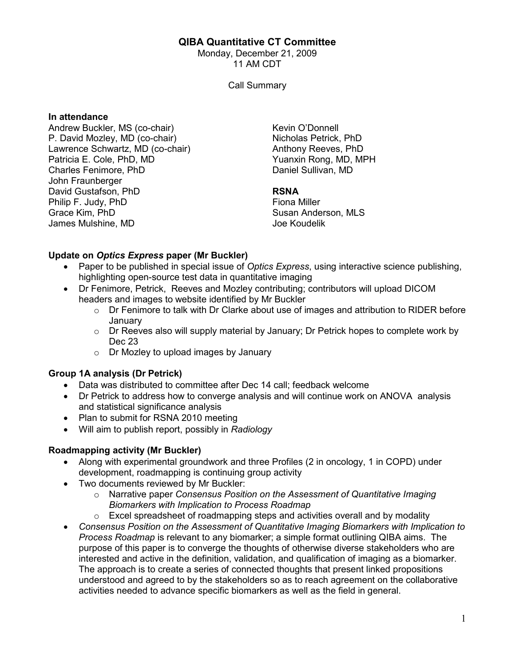### QIBA Quantitative CT Committee

Monday, December 21, 2009 11 AM CDT

Call Summary

#### In attendance

Andrew Buckler, MS (co-chair) P. David Mozley, MD (co-chair) Lawrence Schwartz, MD (co-chair) Patricia E. Cole, PhD, MD Charles Fenimore, PhD John Fraunberger David Gustafson, PhD Philip F. Judy, PhD Grace Kim, PhD James Mulshine, MD

Kevin O'Donnell Nicholas Petrick, PhD Anthony Reeves, PhD Yuanxin Rong, MD, MPH Daniel Sullivan, MD

#### RSNA

Fiona Miller Susan Anderson, MLS Joe Koudelik

#### Update on Optics Express paper (Mr Buckler)

- Paper to be published in special issue of Optics Express, using interactive science publishing, highlighting open-source test data in quantitative imaging
- Dr Fenimore, Petrick, Reeves and Mozley contributing; contributors will upload DICOM headers and images to website identified by Mr Buckler
	- o Dr Fenimore to talk with Dr Clarke about use of images and attribution to RIDER before January
	- o Dr Reeves also will supply material by January; Dr Petrick hopes to complete work by Dec 23
	- o Dr Mozley to upload images by January

#### Group 1A analysis (Dr Petrick)

- Data was distributed to committee after Dec 14 call; feedback welcome
- Dr Petrick to address how to converge analysis and will continue work on ANOVA analysis and statistical significance analysis
- Plan to submit for RSNA 2010 meeting
- Will aim to publish report, possibly in Radiology

## Roadmapping activity (Mr Buckler)

- Along with experimental groundwork and three Profiles (2 in oncology, 1 in COPD) under development, roadmapping is continuing group activity
- Two documents reviewed by Mr Buckler:
	- $\circ$  Narrative paper Consensus Position on the Assessment of Quantitative Imaging Biomarkers with Implication to Process Roadmap
	- $\circ$  Excel spreadsheet of roadmapping steps and activities overall and by modality
- Consensus Position on the Assessment of Quantitative Imaging Biomarkers with Implication to Process Roadmap is relevant to any biomarker; a simple format outlining QIBA aims. The purpose of this paper is to converge the thoughts of otherwise diverse stakeholders who are interested and active in the definition, validation, and qualification of imaging as a biomarker. The approach is to create a series of connected thoughts that present linked propositions understood and agreed to by the stakeholders so as to reach agreement on the collaborative activities needed to advance specific biomarkers as well as the field in general.